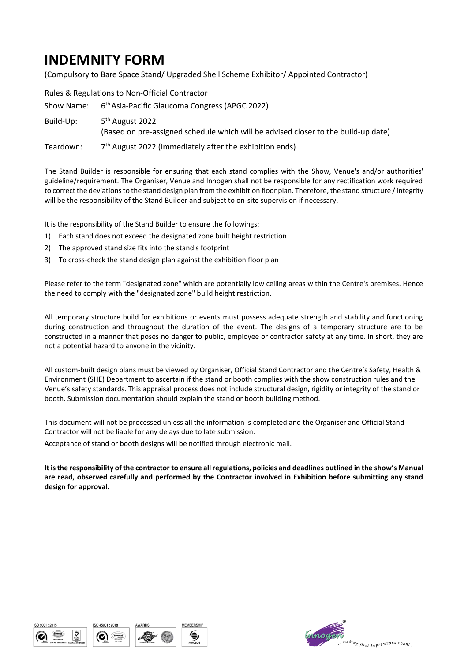## **INDEMNITY FORM**

(Compulsory to Bare Space Stand/ Upgraded Shell Scheme Exhibitor/ Appointed Contractor)

|           | Rules & Regulations to Non-Official Contractor                                                                    |  |
|-----------|-------------------------------------------------------------------------------------------------------------------|--|
|           | Show Name: 6 <sup>th</sup> Asia-Pacific Glaucoma Congress (APGC 2022)                                             |  |
| Build-Up: | 5 <sup>th</sup> August 2022<br>(Based on pre-assigned schedule which will be advised closer to the build-up date) |  |
| Teardown: | 7 <sup>th</sup> August 2022 (Immediately after the exhibition ends)                                               |  |

The Stand Builder is responsible for ensuring that each stand complies with the Show, Venue's and/or authorities' guideline/requirement. The Organiser, Venue and Innogen shall not be responsible for any rectification work required to correct the deviations to the stand design plan from the exhibition floor plan. Therefore, the stand structure / integrity will be the responsibility of the Stand Builder and subject to on-site supervision if necessary.

It is the responsibility of the Stand Builder to ensure the followings:

- 1) Each stand does not exceed the designated zone built height restriction
- 2) The approved stand size fits into the stand's footprint
- 3) To cross-check the stand design plan against the exhibition floor plan

Please refer to the term "designated zone" which are potentially low ceiling areas within the Centre's premises. Hence the need to comply with the "designated zone" build height restriction.

All temporary structure build for exhibitions or events must possess adequate strength and stability and functioning during construction and throughout the duration of the event. The designs of a temporary structure are to be constructed in a manner that poses no danger to public, employee or contractor safety at any time. In short, they are not a potential hazard to anyone in the vicinity.

All custom-built design plans must be viewed by Organiser, Official Stand Contractor and the Centre's Safety, Health & Environment (SHE) Department to ascertain if the stand or booth complies with the show construction rules and the Venue's safety standards. This appraisal process does not include structural design, rigidity or integrity of the stand or booth. Submission documentation should explain the stand or booth building method.

This document will not be processed unless all the information is completed and the Organiser and Official Stand Contractor will not be liable for any delays due to late submission.

Acceptance of stand or booth designs will be notified through electronic mail.

**It is the responsibility of the contractor to ensure all regulations, policies and deadlines outlined in the show's Manual are read, observed carefully and performed by the Contractor involved in Exhibition before submitting any stand design for approval.**







WARD!



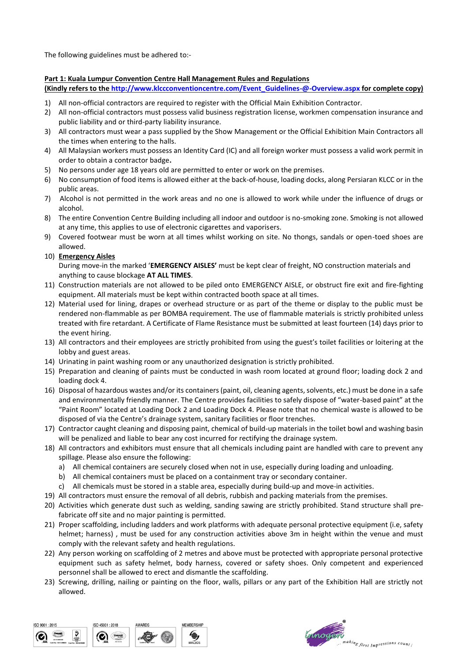The following guidelines must be adhered to:-

## **Part 1: Kuala Lumpur Convention Centre Hall Management Rules and Regulations**

**(Kindly refers to th[e http://www.klccconventioncentre.com/Event\\_Guidelines-@-Overview.aspx](http://www.klccconventioncentre.com/Event_Guidelines-@-Overview.aspx) for complete copy)**

- 1) All non-official contractors are required to register with the Official Main Exhibition Contractor.
- 2) All non-official contractors must possess valid business registration license, workmen compensation insurance and public liability and or third-party liability insurance.
- 3) All contractors must wear a pass supplied by the Show Management or the Official Exhibition Main Contractors all the times when entering to the halls.
- 4) All Malaysian workers must possess an Identity Card (IC) and all foreign worker must possess a valid work permit in order to obtain a contractor badge**.**
- 5) No persons under age 18 years old are permitted to enter or work on the premises.
- 6) No consumption of food items is allowed either at the back-of-house, loading docks, along Persiaran KLCC or in the public areas.
- 7) Alcohol is not permitted in the work areas and no one is allowed to work while under the influence of drugs or alcohol.
- 8) The entire Convention Centre Building including all indoor and outdoor is no-smoking zone. Smoking is not allowed at any time, this applies to use of electronic cigarettes and vaporisers.
- 9) Covered footwear must be worn at all times whilst working on site. No thongs, sandals or open-toed shoes are allowed.
- 10) **Emergency Aisles**

During move-in the marked '**EMERGENCY AISLES'** must be kept clear of freight, NO construction materials and anything to cause blockage **AT ALL TIMES**.

- 11) Construction materials are not allowed to be piled onto EMERGENCY AISLE, or obstruct fire exit and fire-fighting equipment. All materials must be kept within contracted booth space at all times.
- 12) Material used for lining, drapes or overhead structure or as part of the theme or display to the public must be rendered non-flammable as per BOMBA requirement. The use of flammable materials is strictly prohibited unless treated with fire retardant. A Certificate of Flame Resistance must be submitted at least fourteen (14) days prior to the event hiring.
- 13) All contractors and their employees are strictly prohibited from using the guest's toilet facilities or loitering at the lobby and guest areas.
- 14) Urinating in paint washing room or any unauthorized designation is strictly prohibited.
- 15) Preparation and cleaning of paints must be conducted in wash room located at ground floor; loading dock 2 and loading dock 4.
- 16) Disposal of hazardous wastes and/or its containers (paint, oil, cleaning agents, solvents, etc.) must be done in a safe and environmentally friendly manner. The Centre provides facilities to safely dispose of "water-based paint" at the "Paint Room" located at Loading Dock 2 and Loading Dock 4. Please note that no chemical waste is allowed to be disposed of via the Centre's drainage system, sanitary facilities or floor trenches.
- 17) Contractor caught cleaning and disposing paint, chemical of build-up materials in the toilet bowl and washing basin will be penalized and liable to bear any cost incurred for rectifying the drainage system.
- 18) All contractors and exhibitors must ensure that all chemicals including paint are handled with care to prevent any spillage. Please also ensure the following:
	- a) All chemical containers are securely closed when not in use, especially during loading and unloading.
	- b) All chemical containers must be placed on a containment tray or secondary container.
	- c) All chemicals must be stored in a stable area, especially during build-up and move-in activities.
- 19) All contractors must ensure the removal of all debris, rubbish and packing materials from the premises.
- 20) Activities which generate dust such as welding, sanding sawing are strictly prohibited. Stand structure shall prefabricate off site and no major painting is permitted.
- 21) Proper scaffolding, including ladders and work platforms with adequate personal protective equipment (i.e, safety helmet; harness) , must be used for any construction activities above 3m in height within the venue and must comply with the relevant safety and health regulations.
- 22) Any person working on scaffolding of 2 metres and above must be protected with appropriate personal protective equipment such as safety helmet, body harness, covered or safety shoes. Only competent and experienced personnel shall be allowed to erect and dismantle the scaffolding.
- 23) Screwing, drilling, nailing or painting on the floor, walls, pillars or any part of the Exhibition Hall are strictly not allowed.



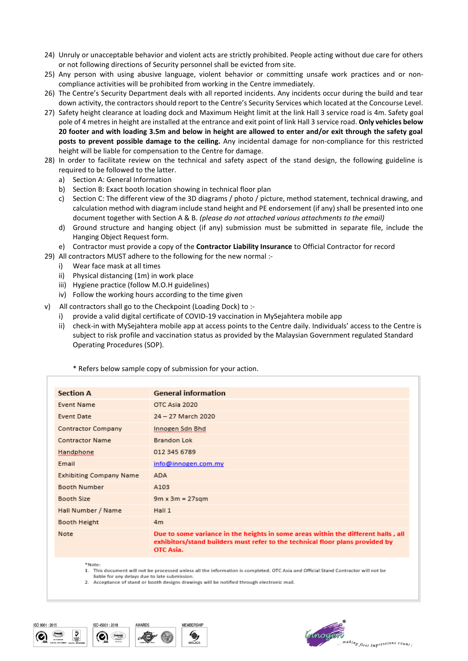- 24) Unruly or unacceptable behavior and violent acts are strictly prohibited. People acting without due care for others or not following directions of Security personnel shall be evicted from site.
- 25) Any person with using abusive language, violent behavior or committing unsafe work practices and or noncompliance activities will be prohibited from working in the Centre immediately.
- 26) The Centre's Security Department deals with all reported incidents. Any incidents occur during the build and tear down activity, the contractors should report to the Centre's Security Services which located at the Concourse Level.
- 27) Safety height clearance at loading dock and Maximum Height limit at the link Hall 3 service road is 4m. Safety goal pole of 4 metres in height are installed at the entrance and exit point of link Hall 3 service road. **Only vehicles below 20 footer and with loading 3.5m and below in height are allowed to enter and/or exit through the safety goal posts to prevent possible damage to the ceiling.** Any incidental damage for non-compliance for this restricted height will be liable for compensation to the Centre for damage.
- 28) In order to facilitate review on the technical and safety aspect of the stand design, the following guideline is required to be followed to the latter.
	- a) Section A: General Information
	- b) Section B: Exact booth location showing in technical floor plan
	- c) Section C: The different view of the 3D diagrams / photo / picture, method statement, technical drawing, and calculation method with diagram include stand height and PE endorsement (if any) shall be presented into one document together with Section A & B. *(please do not attached various attachments to the email)*
	- d) Ground structure and hanging object (if any) submission must be submitted in separate file, include the Hanging Object Request form.
- e) Contractor must provide a copy of the **Contractor Liability Insurance** to Official Contractor for record
- 29) All contractors MUST adhere to the following for the new normal :
	- i) Wear face mask at all times
	- ii) Physical distancing (1m) in work place
	- iii) Hygiene practice (follow M.O.H guidelines)
	- iv) Follow the working hours according to the time given
- v) All contractors shall go to the Checkpoint (Loading Dock) to :
	- provide a valid digital certificate of COVID-19 vaccination in MySejahtera mobile app
	- ii) check-in with MySejahtera mobile app at access points to the Centre daily. Individuals' access to the Centre is subject to risk profile and vaccination status as provided by the Malaysian Government regulated Standard Operating Procedures (SOP).

\* Refers below sample copy of submission for your action.

| <b>Section A</b>               | <b>General information</b>                                                                                                                                                      |
|--------------------------------|---------------------------------------------------------------------------------------------------------------------------------------------------------------------------------|
| <b>Event Name</b>              | OTC Asia 2020                                                                                                                                                                   |
| Event Date                     | 24 - 27 March 2020                                                                                                                                                              |
| Contractor Company             | Innogen Sdn Bhd                                                                                                                                                                 |
| <b>Contractor Name</b>         | Brandon Lok                                                                                                                                                                     |
| Handphone                      | 012 345 6789                                                                                                                                                                    |
| Email                          | info@innogen.com.my                                                                                                                                                             |
| <b>Exhibiting Company Name</b> | ADA                                                                                                                                                                             |
| Booth Number                   | A103                                                                                                                                                                            |
| Booth Size                     | $9m \times 3m = 27$ sqm                                                                                                                                                         |
| Hall Number / Name             | Hall 1                                                                                                                                                                          |
| Booth Height                   | 4m                                                                                                                                                                              |
| Note                           | Due to some variance in the heights in some areas within the different halls, all<br>exhibitors/stand builders must refer to the technical floor plans provided by<br>OTC Asia. |
| *Notes                         |                                                                                                                                                                                 |

1. This document will not be processed unless all the information is completed. OTC Asia and Official Stand Contractor will not be

liable for any delays due to late submission 2. Acceptance of stand or booth designs drawings will be notified through electronic mail.







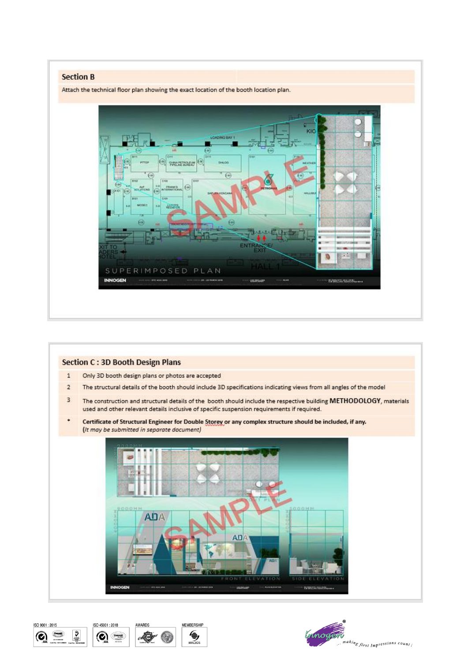## **Section B**

Attach the technical floor plan showing the exact location of the booth location plan.











**MEMBERSHIF** 

€,

**MACEO** 

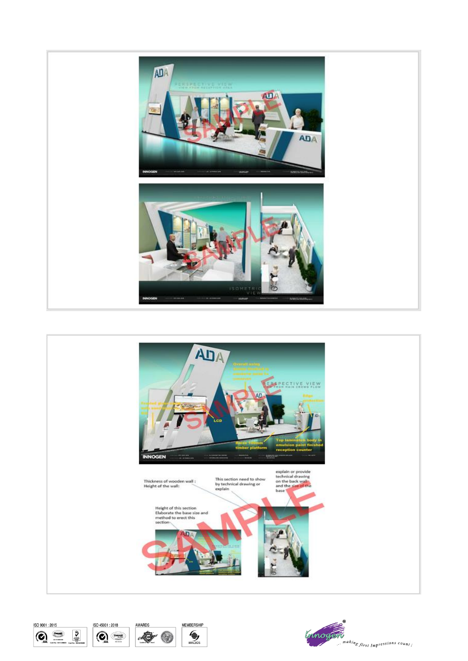







AWARDS



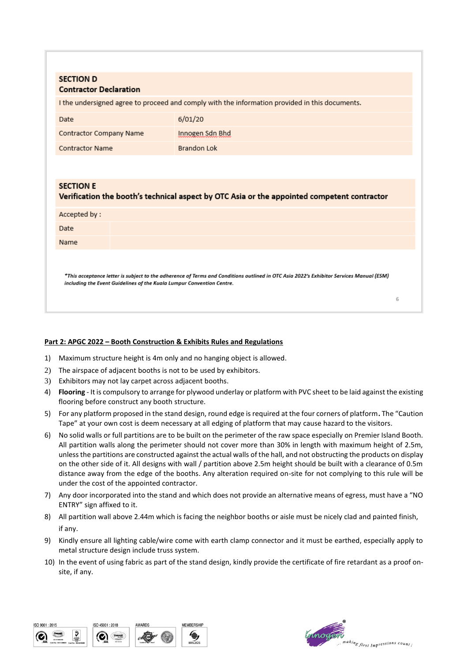| <b>SECTION D</b><br><b>Contractor Declaration</b>                                                               |                 |  |  |
|-----------------------------------------------------------------------------------------------------------------|-----------------|--|--|
| I the undersigned agree to proceed and comply with the information provided in this documents.                  |                 |  |  |
| Date                                                                                                            | 6/01/20         |  |  |
| Contractor Company Name                                                                                         | Innogen Sdn Bhd |  |  |
| <b>Contractor Name</b>                                                                                          | Brandon Lok     |  |  |
|                                                                                                                 |                 |  |  |
| <b>SECTION E</b><br>Verification the booth's technical aspect by OTC Asia or the appointed competent contractor |                 |  |  |
| Accepted by:                                                                                                    |                 |  |  |
| Date                                                                                                            |                 |  |  |
| Name                                                                                                            |                 |  |  |
|                                                                                                                 |                 |  |  |

\*This acceptance letter is subject to the adherence of Terms and Conditions outlined in OTC Asia 2022's Exhibitor Services Manual (ESM) including the Event Guidelines of the Kuala Lumpur Convention Centre.

## **Part 2: APGC 2022 – Booth Construction & Exhibits Rules and Regulations**

- 1) Maximum structure height is 4m only and no hanging object is allowed.
- 2) The airspace of adjacent booths is not to be used by exhibitors.
- 3) Exhibitors may not lay carpet across adjacent booths.
- 4) **Flooring** It is compulsory to arrange for plywood underlay or platform with PVC sheet to be laid against the existing flooring before construct any booth structure.
- 5) For any platform proposed in the stand design, round edge is required at the four corners of platform**.** The "Caution Tape" at your own cost is deem necessary at all edging of platform that may cause hazard to the visitors.
- 6) No solid walls or full partitions are to be built on the perimeter of the raw space especially on Premier Island Booth. All partition walls along the perimeter should not cover more than 30% in length with maximum height of 2.5m, unless the partitions are constructed against the actual walls of the hall, and not obstructing the products on display on the other side of it. All designs with wall / partition above 2.5m height should be built with a clearance of 0.5m distance away from the edge of the booths. Any alteration required on-site for not complying to this rule will be under the cost of the appointed contractor.
- 7) Any door incorporated into the stand and which does not provide an alternative means of egress, must have a "NO ENTRY" sign affixed to it.
- 8) All partition wall above 2.44m which is facing the neighbor booths or aisle must be nicely clad and painted finish, if any.
- 9) Kindly ensure all lighting cable/wire come with earth clamp connector and it must be earthed, especially apply to metal structure design include truss system.
- 10) In the event of using fabric as part of the stand design, kindly provide the certificate of fire retardant as a proof onsite, if any.





 $\overline{a}$